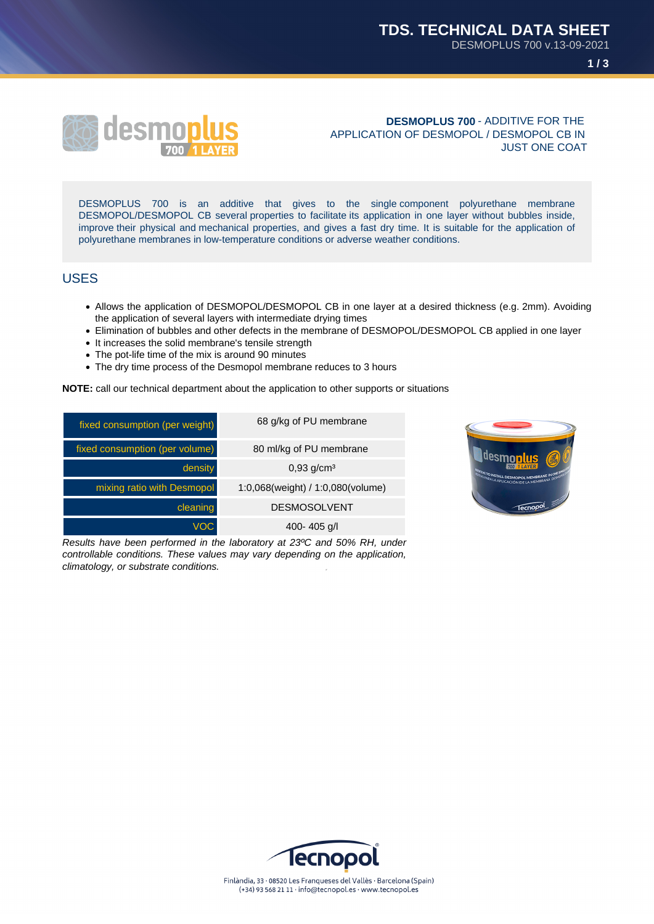



**DESMOPLUS 700** - ADDITIVE FOR THE APPLICATION OF DESMOPOL / DESMOPOL CB IN JUST ONE COAT

DESMOPLUS 700 is an additive that gives to the single component polyurethane membrane DESMOPOL/DESMOPOL CB several properties to facilitate its application in one layer without bubbles inside, improve their physical and mechanical properties, and gives a fast dry time. It is suitable for the application of polyurethane membranes in low-temperature conditions or adverse weather conditions.

#### USES

- Allows the application of DESMOPOL/DESMOPOL CB in one layer at a desired thickness (e.g. 2mm). Avoiding the application of several layers with intermediate drying times
- Elimination of bubbles and other defects in the membrane of DESMOPOL/DESMOPOL CB applied in one layer
- It increases the solid membrane's tensile strength
- The pot-life time of the mix is around 90 minutes
- The dry time process of the Desmopol membrane reduces to 3 hours

**NOTE:** call our technical department about the application to other supports or situations

| fixed consumption (per weight) | 68 g/kg of PU membrane            |
|--------------------------------|-----------------------------------|
| fixed consumption (per volume) | 80 ml/kg of PU membrane           |
| density                        | $0,93$ g/cm <sup>3</sup>          |
| mixing ratio with Desmopol     | 1:0,068(weight) / 1:0,080(volume) |
| cleaning                       | <b>DESMOSOLVENT</b>               |
| VOC                            | 400-405 $q/l$                     |

Results have been performed in the laboratory at 23ºC and 50% RH, under controllable conditions. These values may vary depending on the application, climatology, or substrate conditions.



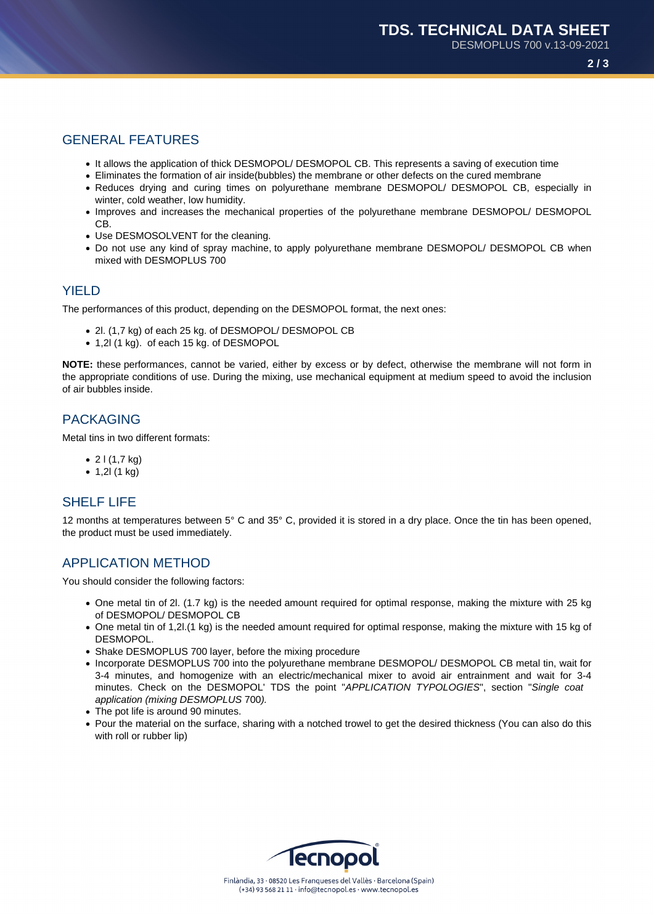**2 / 3**

# GENERAL FEATURES

- It allows the application of thick DESMOPOL/ DESMOPOL CB. This represents a saving of execution time
- Eliminates the formation of air inside(bubbles) the membrane or other defects on the cured membrane
- Reduces drying and curing times on polyurethane membrane DESMOPOL/ DESMOPOL CB, especially in winter, cold weather, low humidity.
- Improves and increases the mechanical properties of the polyurethane membrane DESMOPOL/ DESMOPOL CB.
- Use DESMOSOLVENT for the cleaning.
- Do not use any kind of spray machine, to apply polyurethane membrane DESMOPOL/ DESMOPOL CB when mixed with DESMOPLUS 700

### **YIFLD**

The performances of this product, depending on the DESMOPOL format, the next ones:

- 2l. (1,7 kg) of each 25 kg. of DESMOPOL/ DESMOPOL CB
- 1,2l (1 kg). of each 15 kg. of DESMOPOL

**NOTE:** these performances, cannot be varied, either by excess or by defect, otherwise the membrane will not form in the appropriate conditions of use. During the mixing, use mechanical equipment at medium speed to avoid the inclusion of air bubbles inside.

## PACKAGING

Metal tins in two different formats:

- $\bullet$  2 l (1,7 kg)
- $1,21 (1 kg)$

#### SHELF LIFE

12 months at temperatures between 5° C and 35° C, provided it is stored in a dry place. Once the tin has been opened, the product must be used immediately.

## APPLICATION METHOD

You should consider the following factors:

- One metal tin of 2l. (1.7 kg) is the needed amount required for optimal response, making the mixture with 25 kg of DESMOPOL/ DESMOPOL CB
- One metal tin of 1,2l.(1 kg) is the needed amount required for optimal response, making the mixture with 15 kg of DESMOPOL.
- Shake DESMOPLUS 700 layer, before the mixing procedure
- Incorporate DESMOPLUS 700 into the polyurethane membrane DESMOPOL/ DESMOPOL CB metal tin, wait for 3-4 minutes, and homogenize with an electric/mechanical mixer to avoid air entrainment and wait for 3-4 minutes. Check on the DESMOPOL' TDS the point "APPLICATION TYPOLOGIES", section "Single coat application (mixing DESMOPLUS 700).
- The pot life is around 90 minutes.
- Pour the material on the surface, sharing with a notched trowel to get the desired thickness (You can also do this with roll or rubber lip)